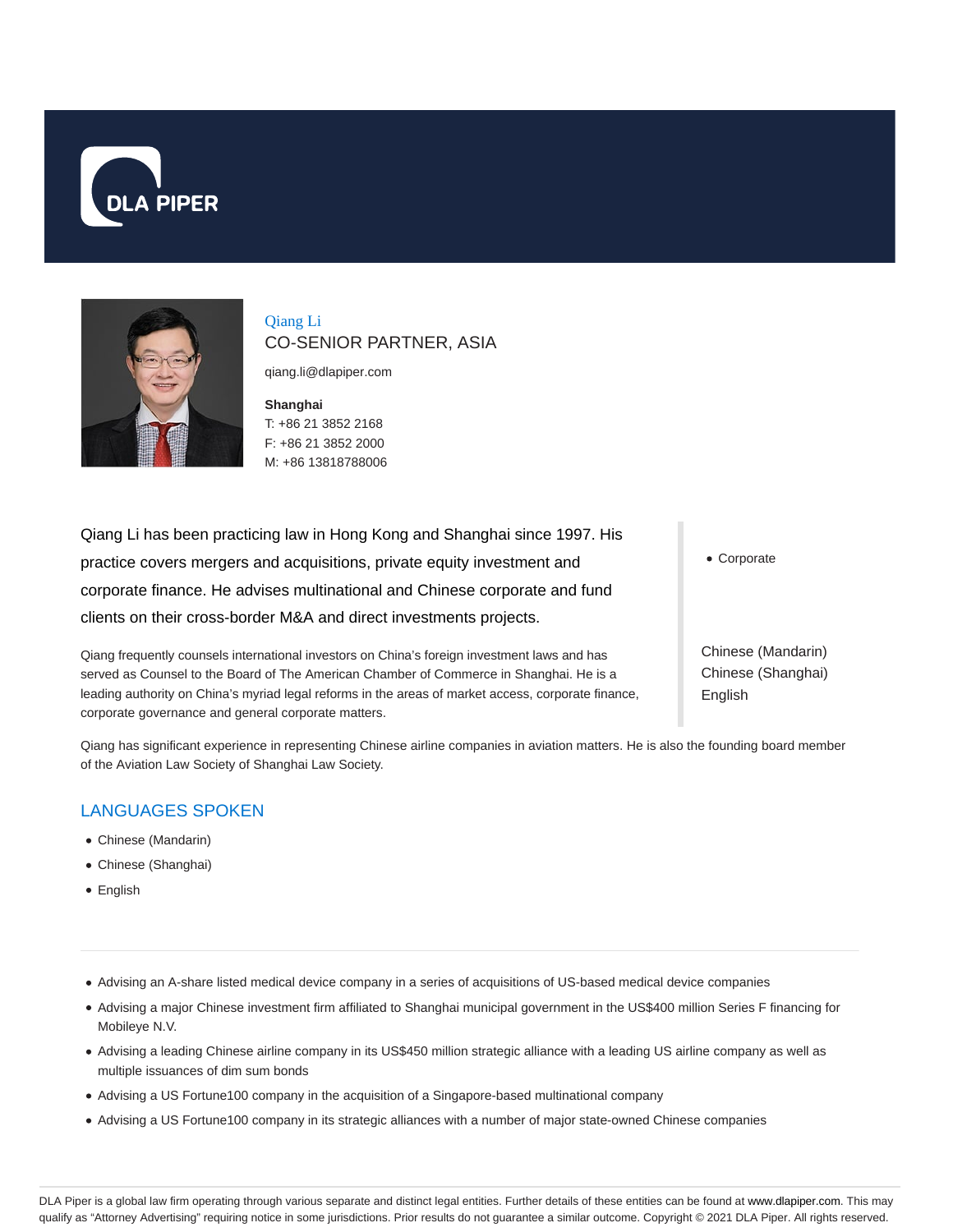



Qiang Li CO-SENIOR PARTNER, ASIA

qiang.li@dlapiper.com

**Shanghai** T: +86 21 3852 2168 F: +86 21 3852 2000 M: +86 13818788006

Qiang Li has been practicing law in Hong Kong and Shanghai since 1997. His practice covers mergers and acquisitions, private equity investment and corporate finance. He advises multinational and Chinese corporate and fund clients on their cross-border M&A and direct investments projects.

Qiang frequently counsels international investors on China's foreign investment laws and has served as Counsel to the Board of The American Chamber of Commerce in Shanghai. He is a leading authority on China's myriad legal reforms in the areas of market access, corporate finance, corporate governance and general corporate matters.

Corporate

Chinese (Mandarin) Chinese (Shanghai) English

Qiang has significant experience in representing Chinese airline companies in aviation matters. He is also the founding board member of the Aviation Law Society of Shanghai Law Society.

# LANGUAGES SPOKEN

- Chinese (Mandarin)
- Chinese (Shanghai)
- English

Advising an A-share listed medical device company in a series of acquisitions of US-based medical device companies

- Advising a major Chinese investment firm affiliated to Shanghai municipal government in the US\$400 million Series F financing for Mobileye N.V.
- Advising a leading Chinese airline company in its US\$450 million strategic alliance with a leading US airline company as well as multiple issuances of dim sum bonds
- Advising a US Fortune100 company in the acquisition of a Singapore-based multinational company
- Advising a US Fortune100 company in its strategic alliances with a number of major state-owned Chinese companies

DLA Piper is a global law firm operating through various separate and distinct legal entities. Further details of these entities can be found at www.dlapiper.com. This may qualify as "Attorney Advertising" requiring notice in some jurisdictions. Prior results do not guarantee a similar outcome. Copyright @ 2021 DLA Piper. All rights reserved.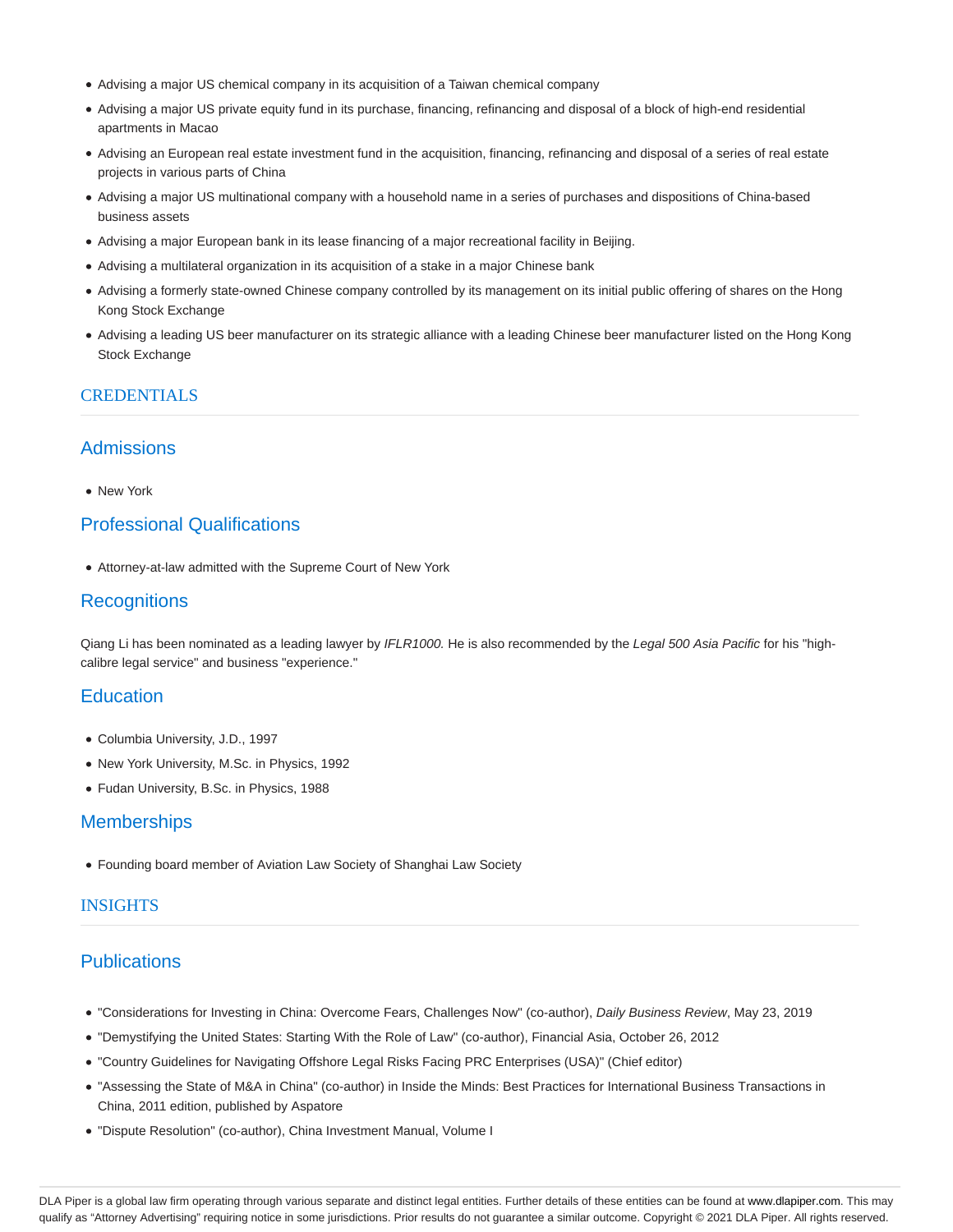- Advising a major US chemical company in its acquisition of a Taiwan chemical company
- Advising a major US private equity fund in its purchase, financing, refinancing and disposal of a block of high-end residential apartments in Macao
- Advising an European real estate investment fund in the acquisition, financing, refinancing and disposal of a series of real estate projects in various parts of China
- Advising a major US multinational company with a household name in a series of purchases and dispositions of China-based business assets
- Advising a major European bank in its lease financing of a major recreational facility in Beijing.
- Advising a multilateral organization in its acquisition of a stake in a major Chinese bank
- Advising a formerly state-owned Chinese company controlled by its management on its initial public offering of shares on the Hong Kong Stock Exchange
- Advising a leading US beer manufacturer on its strategic alliance with a leading Chinese beer manufacturer listed on the Hong Kong Stock Exchange

#### **CREDENTIALS**

### Admissions

New York

## Professional Qualifications

Attorney-at-law admitted with the Supreme Court of New York

#### **Recognitions**

Qiang Li has been nominated as a leading lawyer by IFLR1000. He is also recommended by the Legal 500 Asia Pacific for his "highcalibre legal service" and business "experience."

#### **Education**

- Columbia University, J.D., 1997
- New York University, M.Sc. in Physics, 1992
- Fudan University, B.Sc. in Physics, 1988

#### **Memberships**

Founding board member of Aviation Law Society of Shanghai Law Society

#### INSIGHTS

### **Publications**

- "Considerations for Investing in China: Overcome Fears, Challenges Now" (co-author), Daily Business Review, May 23, 2019
- "Demystifying the United States: Starting With the Role of Law" (co-author), Financial Asia, October 26, 2012
- "Country Guidelines for Navigating Offshore Legal Risks Facing PRC Enterprises (USA)" (Chief editor)
- "Assessing the State of M&A in China" (co-author) in Inside the Minds: Best Practices for International Business Transactions in China, 2011 edition, published by Aspatore
- "Dispute Resolution" (co-author), China Investment Manual, Volume I